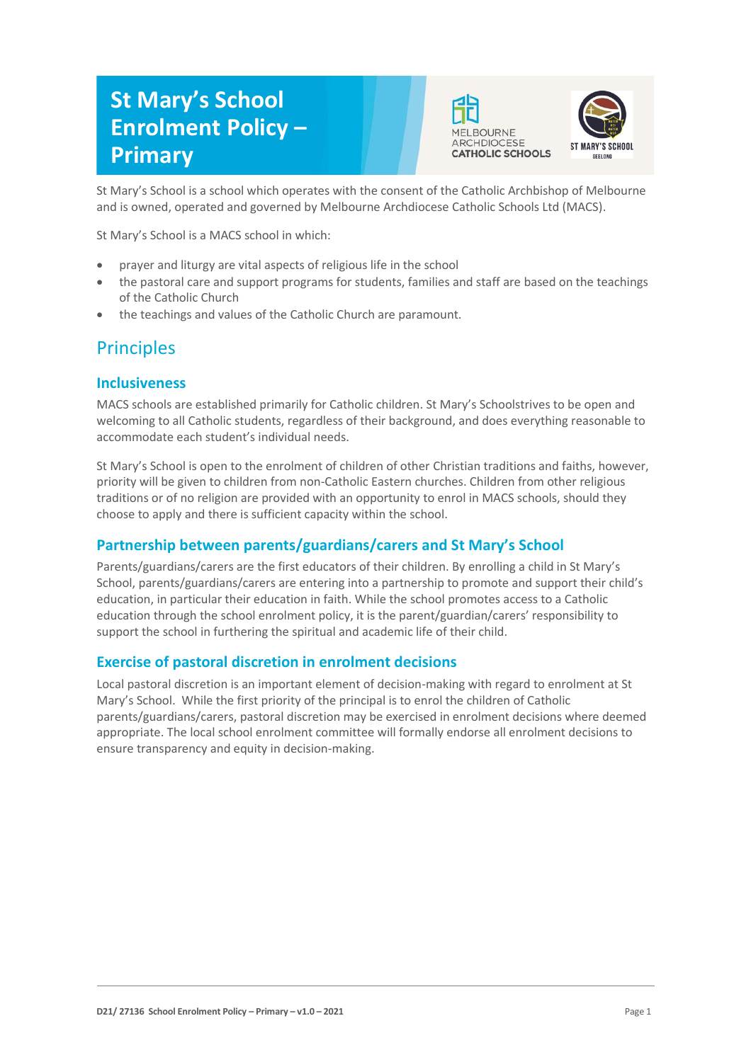# **St Mary's School Enrolment Policy – Primary**





St Mary's School is a school which operates with the consent of the Catholic Archbishop of Melbourne and is owned, operated and governed by Melbourne Archdiocese Catholic Schools Ltd (MACS).

St Mary's School is a MACS school in which:

- prayer and liturgy are vital aspects of religious life in the school
- the pastoral care and support programs for students, families and staff are based on the teachings of the Catholic Church
- the teachings and values of the Catholic Church are paramount.

## **Principles**

### **Inclusiveness**

MACS schools are established primarily for Catholic children. St Mary's Schoolstrives to be open and welcoming to all Catholic students, regardless of their background, and does everything reasonable to accommodate each student's individual needs.

St Mary's School is open to the enrolment of children of other Christian traditions and faiths, however, priority will be given to children from non-Catholic Eastern churches. Children from other religious traditions or of no religion are provided with an opportunity to enrol in MACS schools, should they choose to apply and there is sufficient capacity within the school.

## **Partnership between parents/guardians/carers and St Mary's School**

Parents/guardians/carers are the first educators of their children. By enrolling a child in St Mary's School, parents/guardians/carers are entering into a partnership to promote and support their child's education, in particular their education in faith. While the school promotes access to a Catholic education through the school enrolment policy, it is the parent/guardian/carers' responsibility to support the school in furthering the spiritual and academic life of their child.

### **Exercise of pastoral discretion in enrolment decisions**

Local pastoral discretion is an important element of decision-making with regard to enrolment at St Mary's School. While the first priority of the principal is to enrol the children of Catholic parents/guardians/carers, pastoral discretion may be exercised in enrolment decisions where deemed appropriate. The local school enrolment committee will formally endorse all enrolment decisions to ensure transparency and equity in decision-making.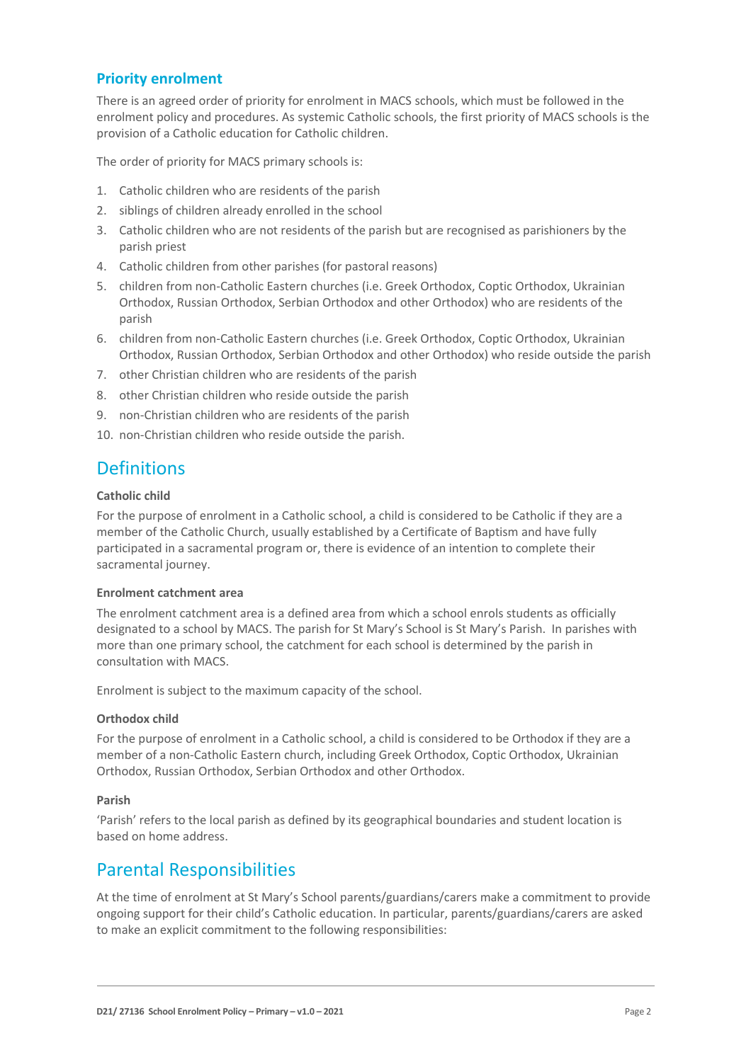### **Priority enrolment**

There is an agreed order of priority for enrolment in MACS schools, which must be followed in the enrolment policy and procedures. As systemic Catholic schools, the first priority of MACS schools is the provision of a Catholic education for Catholic children.

The order of priority for MACS primary schools is:

- 1. Catholic children who are residents of the parish
- 2. siblings of children already enrolled in the school
- 3. Catholic children who are not residents of the parish but are recognised as parishioners by the parish priest
- 4. Catholic children from other parishes (for pastoral reasons)
- 5. children from non-Catholic Eastern churches (i.e. Greek Orthodox, Coptic Orthodox, Ukrainian Orthodox, Russian Orthodox, Serbian Orthodox and other Orthodox) who are residents of the parish
- 6. children from non-Catholic Eastern churches (i.e. Greek Orthodox, Coptic Orthodox, Ukrainian Orthodox, Russian Orthodox, Serbian Orthodox and other Orthodox) who reside outside the parish
- 7. other Christian children who are residents of the parish
- 8. other Christian children who reside outside the parish
- 9. non-Christian children who are residents of the parish
- 10. non-Christian children who reside outside the parish.

## **Definitions**

#### **Catholic child**

For the purpose of enrolment in a Catholic school, a child is considered to be Catholic if they are a member of the Catholic Church, usually established by a Certificate of Baptism and have fully participated in a sacramental program or, there is evidence of an intention to complete their sacramental journey.

#### **Enrolment catchment area**

The enrolment catchment area is a defined area from which a school enrols students as officially designated to a school by MACS. The parish for St Mary's School is St Mary's Parish. In parishes with more than one primary school, the catchment for each school is determined by the parish in consultation with MACS.

Enrolment is subject to the maximum capacity of the school.

#### **Orthodox child**

For the purpose of enrolment in a Catholic school, a child is considered to be Orthodox if they are a member of a non-Catholic Eastern church, including Greek Orthodox, Coptic Orthodox, Ukrainian Orthodox, Russian Orthodox, Serbian Orthodox and other Orthodox.

#### **Parish**

'Parish' refers to the local parish as defined by its geographical boundaries and student location is based on home address.

## Parental Responsibilities

At the time of enrolment at St Mary's School parents/guardians/carers make a commitment to provide ongoing support for their child's Catholic education. In particular, parents/guardians/carers are asked to make an explicit commitment to the following responsibilities: